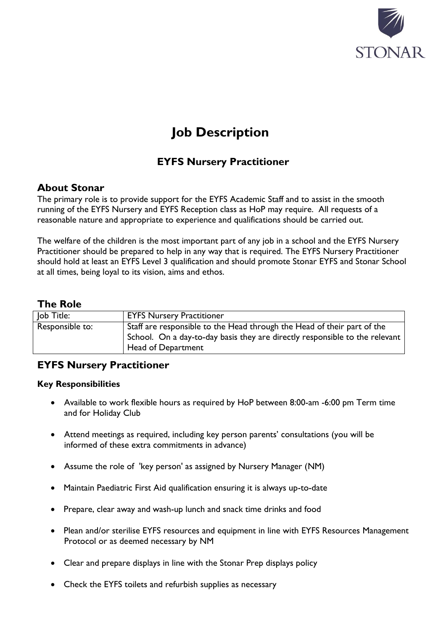

# **Job Description**

# **EYFS Nursery Practitioner**

## **About Stonar**

The primary role is to provide support for the EYFS Academic Staff and to assist in the smooth running of the EYFS Nursery and EYFS Reception class as HoP may require. All requests of a reasonable nature and appropriate to experience and qualifications should be carried out.

The welfare of the children is the most important part of any job in a school and the EYFS Nursery Practitioner should be prepared to help in any way that is required. The EYFS Nursery Practitioner should hold at least an EYFS Level 3 qualification and should promote Stonar EYFS and Stonar School at all times, being loyal to its vision, aims and ethos.

#### **The Role**

| Job Title:      | <b>EYFS Nursery Practitioner</b>                                                                                                                                             |
|-----------------|------------------------------------------------------------------------------------------------------------------------------------------------------------------------------|
| Responsible to: | Staff are responsible to the Head through the Head of their part of the<br>School. On a day-to-day basis they are directly responsible to the relevant<br>Head of Department |

## **EYFS Nursery Practitioner**

#### **Key Responsibilities**

- Available to work flexible hours as required by HoP between 8:00-am -6:00 pm Term time and for Holiday Club
- Attend meetings as required, including key person parents' consultations (you will be informed of these extra commitments in advance)
- Assume the role of 'key person' as assigned by Nursery Manager (NM)
- Maintain Paediatric First Aid qualification ensuring it is always up-to-date
- Prepare, clear away and wash-up lunch and snack time drinks and food
- Plean and/or sterilise EYFS resources and equipment in line with EYFS Resources Management Protocol or as deemed necessary by NM
- Clear and prepare displays in line with the Stonar Prep displays policy
- Check the EYFS toilets and refurbish supplies as necessary